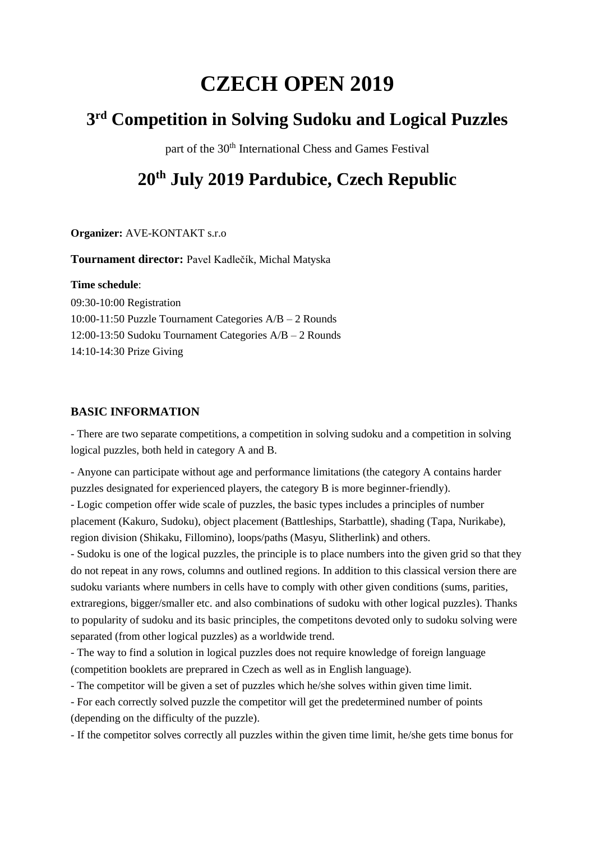# **CZECH OPEN 2019**

# **3 rd Competition in Solving Sudoku and Logical Puzzles**

part of the 30<sup>th</sup> International Chess and Games Festival

# **20th July 2019 Pardubice, Czech Republic**

**Organizer:** AVE-KONTAKT s.r.o

**Tournament director:** Pavel Kadlečík, Michal Matyska

**Time schedule**:

09:30-10:00 Registration 10:00-11:50 Puzzle Tournament Categories A/B – 2 Rounds 12:00-13:50 Sudoku Tournament Categories A/B – 2 Rounds 14:10-14:30 Prize Giving

# **BASIC INFORMATION**

- There are two separate competitions, a competition in solving sudoku and a competition in solving logical puzzles, both held in category A and B.

- Anyone can participate without age and performance limitations (the category A contains harder puzzles designated for experienced players, the category B is more beginner-friendly).

- Logic competion offer wide scale of puzzles, the basic types includes a principles of number placement (Kakuro, Sudoku), object placement (Battleships, Starbattle), shading (Tapa, Nurikabe), region division (Shikaku, Fillomino), loops/paths (Masyu, Slitherlink) and others.

- Sudoku is one of the logical puzzles, the principle is to place numbers into the given grid so that they do not repeat in any rows, columns and outlined regions. In addition to this classical version there are sudoku variants where numbers in cells have to comply with other given conditions (sums, parities, extraregions, bigger/smaller etc. and also combinations of sudoku with other logical puzzles). Thanks to popularity of sudoku and its basic principles, the competitons devoted only to sudoku solving were separated (from other logical puzzles) as a worldwide trend.

- The way to find a solution in logical puzzles does not require knowledge of foreign language (competition booklets are preprared in Czech as well as in English language).

- The competitor will be given a set of puzzles which he/she solves within given time limit.

- For each correctly solved puzzle the competitor will get the predetermined number of points (depending on the difficulty of the puzzle).

- If the competitor solves correctly all puzzles within the given time limit, he/she gets time bonus for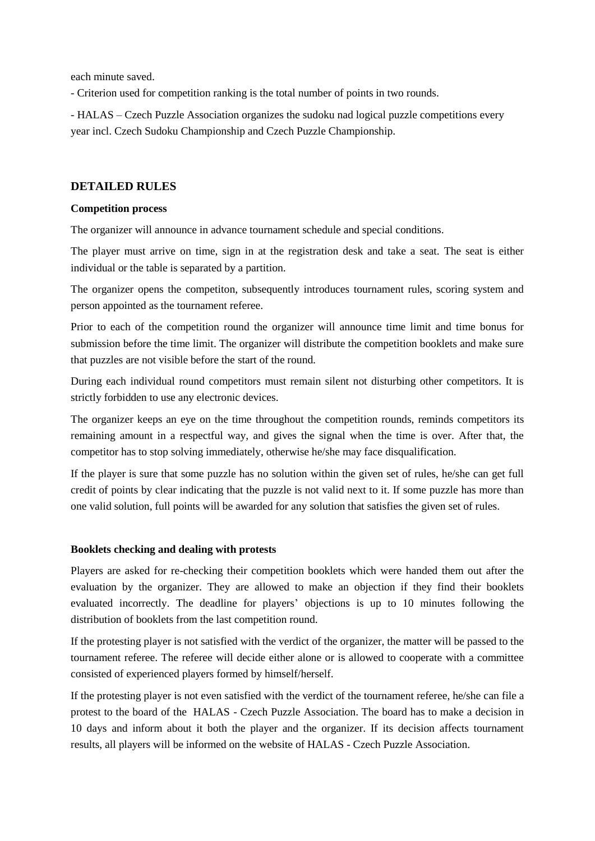each minute saved.

- Criterion used for competition ranking is the total number of points in two rounds.

- HALAS – Czech Puzzle Association organizes the sudoku nad logical puzzle competitions every year incl. Czech Sudoku Championship and Czech Puzzle Championship.

# **DETAILED RULES**

#### **Competition process**

The organizer will announce in advance tournament schedule and special conditions.

The player must arrive on time, sign in at the registration desk and take a seat. The seat is either individual or the table is separated by a partition.

The organizer opens the competiton, subsequently introduces tournament rules, scoring system and person appointed as the tournament referee.

Prior to each of the competition round the organizer will announce time limit and time bonus for submission before the time limit. The organizer will distribute the competition booklets and make sure that puzzles are not visible before the start of the round.

During each individual round competitors must remain silent not disturbing other competitors. It is strictly forbidden to use any electronic devices.

The organizer keeps an eye on the time throughout the competition rounds, reminds competitors its remaining amount in a respectful way, and gives the signal when the time is over. After that, the competitor has to stop solving immediately, otherwise he/she may face disqualification.

If the player is sure that some puzzle has no solution within the given set of rules, he/she can get full credit of points by clear indicating that the puzzle is not valid next to it. If some puzzle has more than one valid solution, full points will be awarded for any solution that satisfies the given set of rules.

## **Booklets checking and dealing with protests**

Players are asked for re-checking their competition booklets which were handed them out after the evaluation by the organizer. They are allowed to make an objection if they find their booklets evaluated incorrectly. The deadline for players' objections is up to 10 minutes following the distribution of booklets from the last competition round.

If the protesting player is not satisfied with the verdict of the organizer, the matter will be passed to the tournament referee. The referee will decide either alone or is allowed to cooperate with a committee consisted of experienced players formed by himself/herself.

If the protesting player is not even satisfied with the verdict of the tournament referee, he/she can file a protest to the board of the HALAS - Czech Puzzle Association. The board has to make a decision in 10 days and inform about it both the player and the organizer. If its decision affects tournament results, all players will be informed on the website of HALAS - Czech Puzzle Association.